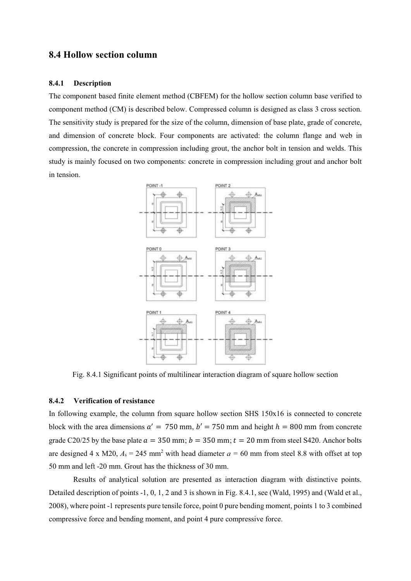# 8.4 Hollow section column

#### 8.4.1 Description

The component based finite element method (CBFEM) for the hollow section column base verified to component method (CM) is described below. Compressed column is designed as class 3 cross section. The sensitivity study is prepared for the size of the column, dimension of base plate, grade of concrete, and dimension of concrete block. Four components are activated: the column flange and web in compression, the concrete in compression including grout, the anchor bolt in tension and welds. This study is mainly focused on two components: concrete in compression including grout and anchor bolt in tension.



Fig. 8.4.1 Significant points of multilinear interaction diagram of square hollow section

#### 8.4.2 Verification of resistance

In following example, the column from square hollow section SHS 150x16 is connected to concrete block with the area dimensions  $a' = 750$  mm,  $b' = 750$  mm and height  $h = 800$  mm from concrete grade C20/25 by the base plate  $a = 350$  mm;  $b = 350$  mm;  $t = 20$  mm from steel S420. Anchor bolts are designed 4 x M20,  $A_s = 245$  mm<sup>2</sup> with head diameter  $a = 60$  mm from steel 8.8 with offset at top 50 mm and left -20 mm. Grout has the thickness of 30 mm.

Results of analytical solution are presented as interaction diagram with distinctive points. Detailed description of points -1, 0, 1, 2 and 3 is shown in Fig. 8.4.1, see (Wald, 1995) and (Wald et al., 2008), where point -1 represents pure tensile force, point 0 pure bending moment, points 1 to 3 combined compressive force and bending moment, and point 4 pure compressive force.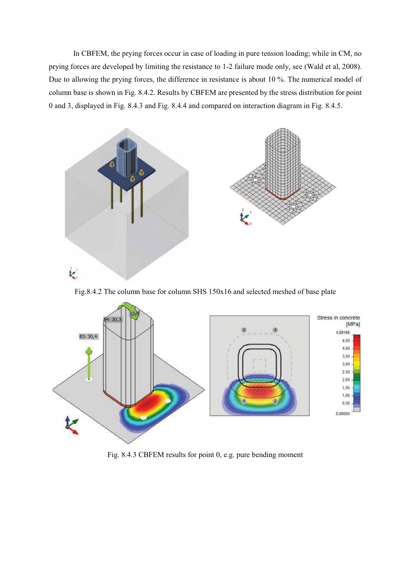In CBFEM, the prying forces occur in case of loading in pure tension loading; while in CM, no prying forces are developed by limiting the resistance to 1-2 failure mode only, see (Wald et al, 2008). Due to allowing the prying forces, the difference in resistance is about 10 %. The numerical model of column base is shown in Fig. 8.4.2. Results by CBFEM are presented by the stress distribution for point 0 and 3, displayed in Fig. 8.4.3 and Fig. 8.4.4 and compared on interaction diagram in Fig. 8.4.5.



Fig.8.4.2 The column base for column SHS 150x16 and selected meshed of base plate



Fig. 8.4.3 CBFEM results for point 0, e.g. pure bending moment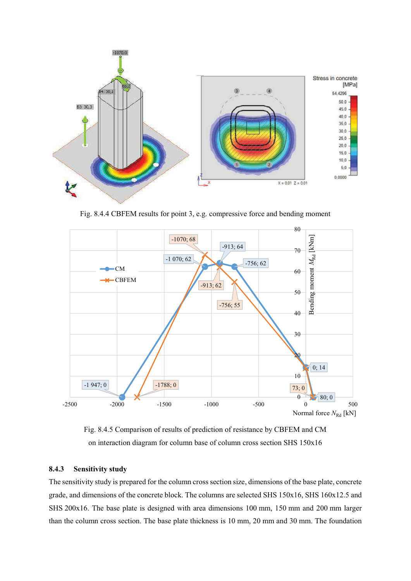

Fig. 8.4.4 CBFEM results for point 3, e.g. compressive force and bending moment



Fig. 8.4.5 Comparison of results of prediction of resistance by CBFEM and CM on interaction diagram for column base of column cross section SHS 150x16

### 8.4.3 Sensitivity study

The sensitivity study is prepared for the column cross section size, dimensions of the base plate, concrete grade, and dimensions of the concrete block. The columns are selected SHS 150x16, SHS 160x12.5 and SHS 200x16. The base plate is designed with area dimensions 100 mm, 150 mm and 200 mm larger than the column cross section. The base plate thickness is 10 mm, 20 mm and 30 mm. The foundation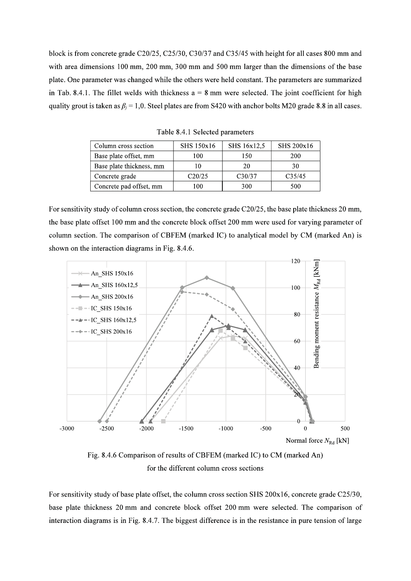block is from concrete grade C20/25, C25/30, C30/37 and C35/45 with height for all cases 800 mm and with area dimensions 100 mm, 200 mm, 300 mm and 500 mm larger than the dimensions of the base plate. One parameter was changed while the others were held constant. The parameters are summarized in Tab. 8.4.1. The fillet welds with thickness  $a = 8$  mm were selected. The joint coefficient for high quality grout is taken as  $\beta_i = 1.0$ . Steel plates are from S420 with anchor bolts M20 grade 8.8 in all cases.

| Column cross section     | SHS 150x16 | SHS 16x12,5 | SHS 200x16         |  |
|--------------------------|------------|-------------|--------------------|--|
| Base plate offset, mm    | 100        | 150         | 200                |  |
| Base plate thickness, mm |            | 20          | 30                 |  |
| Concrete grade           | C20/25     | C30/37      | C <sub>35/45</sub> |  |
| Concrete pad offset, mm  | 100        | 300         | 500                |  |

Table 8.4.1 Selected parameters

For sensitivity study of column cross section, the concrete grade C20/25, the base plate thickness 20 mm, the base plate offset 100 mm and the concrete block offset 200 mm were used for varying parameter of column section. The comparison of CBFEM (marked IC) to analytical model by CM (marked An) is shown on the interaction diagrams in Fig. 8.4.6.



Fig. 8.4.6 Comparison of results of CBFEM (marked IC) to CM (marked An) for the different column cross sections

For sensitivity study of base plate offset, the column cross section SHS 200x16, concrete grade C25/30, base plate thickness 20 mm and concrete block offset 200 mm were selected. The comparison of interaction diagrams is in Fig. 8.4.7. The biggest difference is in the resistance in pure tension of large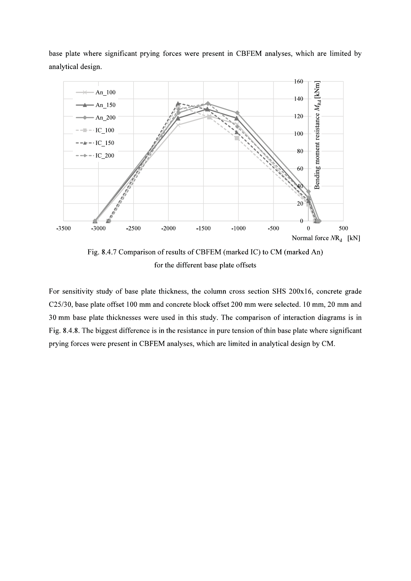base plate where significant prying forces were present in CBFEM analyses, which are limited by analytical design.



Fig. 8.4.7 Comparison of results of CBFEM (marked IC) to CM (marked An) for the different base plate offsets

For sensitivity study of base plate thickness, the column cross section SHS 200x16, concrete grade C25/30, base plate offset 100 mm and concrete block offset 200 mm were selected. 10 mm, 20 mm and 30 mm base plate thicknesses were used in this study. The comparison of interaction diagrams is in Fig. 8.4.8. The biggest difference is in the resistance in pure tension of thin base plate where significant prying forces were present in CBFEM analyses, which are limited in analytical design by CM.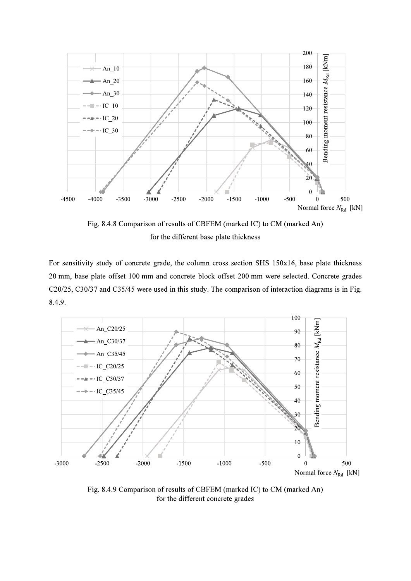

Fig. 8.4.8 Comparison of results of CBFEM (marked IC) to CM (marked An) for the different base plate thickness

For sensitivity study of concrete grade, the column cross section SHS 150x16, base plate thickness 20 mm, base plate offset 100 mm and concrete block offset 200 mm were selected. Concrete grades C20/25, C30/37 and C35/45 were used in this study. The comparison of interaction diagrams is in Fig. 8.4.9.



Fig. 8.4.9 Comparison of results of CBFEM (marked IC) to CM (marked An) for the different concrete grades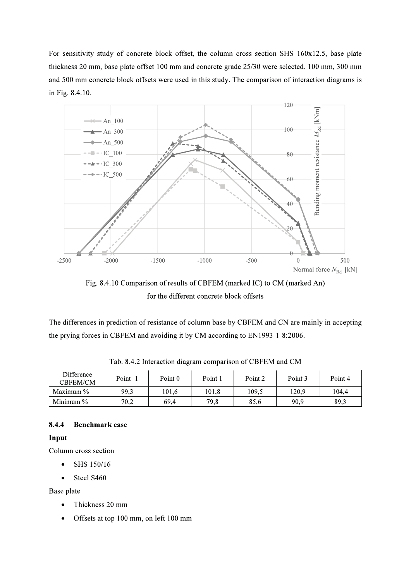For sensitivity study of concrete block offset, the column cross section SHS 160x12.5, base plate thickness 20 mm, base plate offset 100 mm and concrete grade 25/30 were selected. 100 mm, 300 mm and 500 mm concrete block offsets were used in this study. The comparison of interaction diagrams is in Fig. 8.4.10.



Fig. 8.4.10 Comparison of results of CBFEM (marked IC) to CM (marked An) for the different concrete block offsets

The differences in prediction of resistance of column base by CBFEM and CN are mainly in accepting the prying forces in CBFEM and avoiding it by CM according to EN1993-1-8:2006.

| Difference<br><b>CBFEM/CM</b> | Point-1 | Point 0 | Point 1 | Point 2 | Point 3 | Point 4 |
|-------------------------------|---------|---------|---------|---------|---------|---------|
| Maximum $\%$                  | 99.3    | 101.6   | 101.8   | 109.5   | 120.9   | 104.4   |
| Minimum $\%$                  | 70.2    | 69.4    | 79.8    | 85.6    | 90.9    | 89.3    |

Tab. 8.4.2 Interaction diagram comparison of CBFEM and CM

#### 8.4.4 **Benchmark** case

## Input

Column cross section

- SHS 150/16  $\bullet$
- Steel S460  $\bullet$

Base plate

- $\bullet$ Thickness 20 mm
- Offsets at top 100 mm, on left 100 mm  $\bullet$